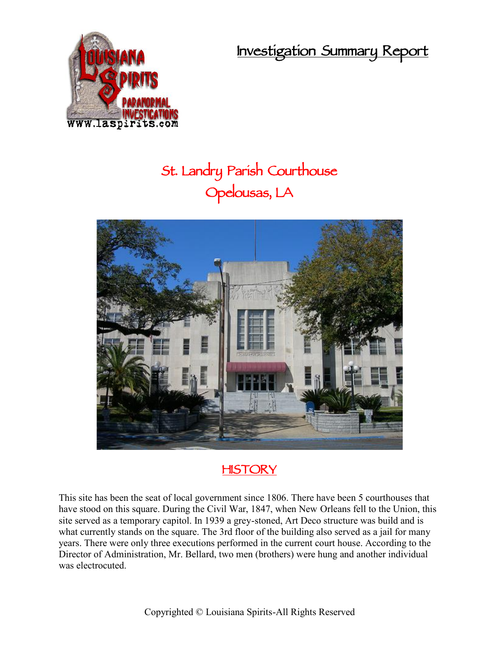**Investigation Summary Report**



# **St. Landry Parish Courthouse Opelousas, LA**



# **HISTORY**

This site has been the seat of local government since 1806. There have been 5 courthouses that have stood on this square. During the Civil War, 1847, when New Orleans fell to the Union, this site served as a temporary capitol. In 1939 a grey-stoned, Art Deco structure was build and is what currently stands on the square. The 3rd floor of the building also served as a jail for many years. There were only three executions performed in the current court house. According to the Director of Administration, Mr. Bellard, two men (brothers) were hung and another individual was electrocuted.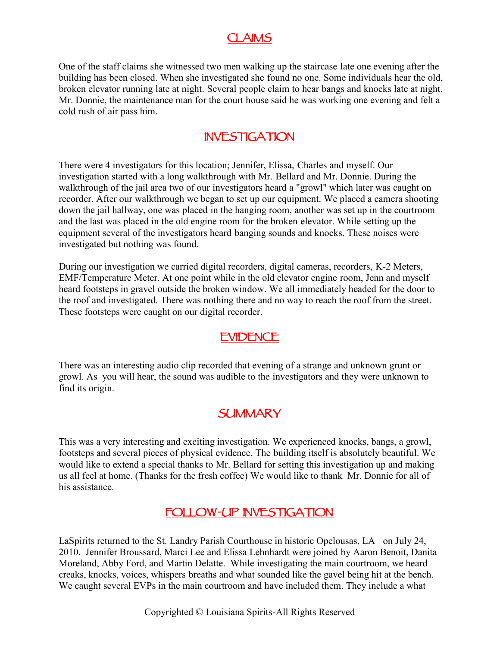## **CLAIMS**

One of the staff claims she witnessed two men walking up the staircase late one evening after the building has been closed. When she investigated she found no one. Some individuals hear the old, broken elevator running late at night. Several people claim to hear bangs and knocks late at night. Mr. Donnie, the maintenance man for the court house said he was working one evening and felt a cold rush of air pass him.

#### **INVESTIGATION**

There were 4 investigators for this location; Jennifer, Elissa, Charles and myself. Our investigation started with a long walkthrough with Mr. Bellard and Mr. Donnie. During the walkthrough of the jail area two of our investigators heard a "growl" which later was caught on recorder. After our walkthrough we began to set up our equipment. We placed a camera shooting down the jail hallway, one was placed in the hanging room, another was set up in the courtroom and the last was placed in the old engine room for the broken elevator. While setting up the equipment several of the investigators heard banging sounds and knocks. These noises were investigated but nothing was found.

During our investigation we carried digital recorders, digital cameras, recorders, K-2 Meters, EMF/Temperature Meter. At one point while in the old elevator engine room, Jenn and myself heard footsteps in gravel outside the broken window. We all immediately headed for the door to the roof and investigated. There was nothing there and no way to reach the roof from the street. These footsteps were caught on our digital recorder.

## **EVIDENCE**

There was an interesting audio clip recorded that evening of a strange and unknown grunt or growl. As you will hear, the sound was audible to the investigators and they were unknown to find its origin.

## **SUMMARY**

This was a very interesting and exciting investigation. We experienced knocks, bangs, a growl, footsteps and several pieces of physical evidence. The building itself is absolutely beautiful. We would like to extend a special thanks to Mr. Bellard for setting this investigation up and making us all feel at home. (Thanks for the fresh coffee) We would like to thank Mr. Donnie for all of his assistance.

## **FOLLOW-UP INVESTIGATION**

LaSpirits returned to the St. Landry Parish Courthouse in historic Opelousas, LA on July 24, 2010. Jennifer Broussard, Marci Lee and Elissa Lehnhardt were joined by Aaron Benoit, Danita Moreland, Abby Ford, and Martin Delatte. While investigating the main courtroom, we heard creaks, knocks, voices, whispers breaths and what sounded like the gavel being hit at the bench. We caught several EVPs in the main courtroom and have included them. They include a what